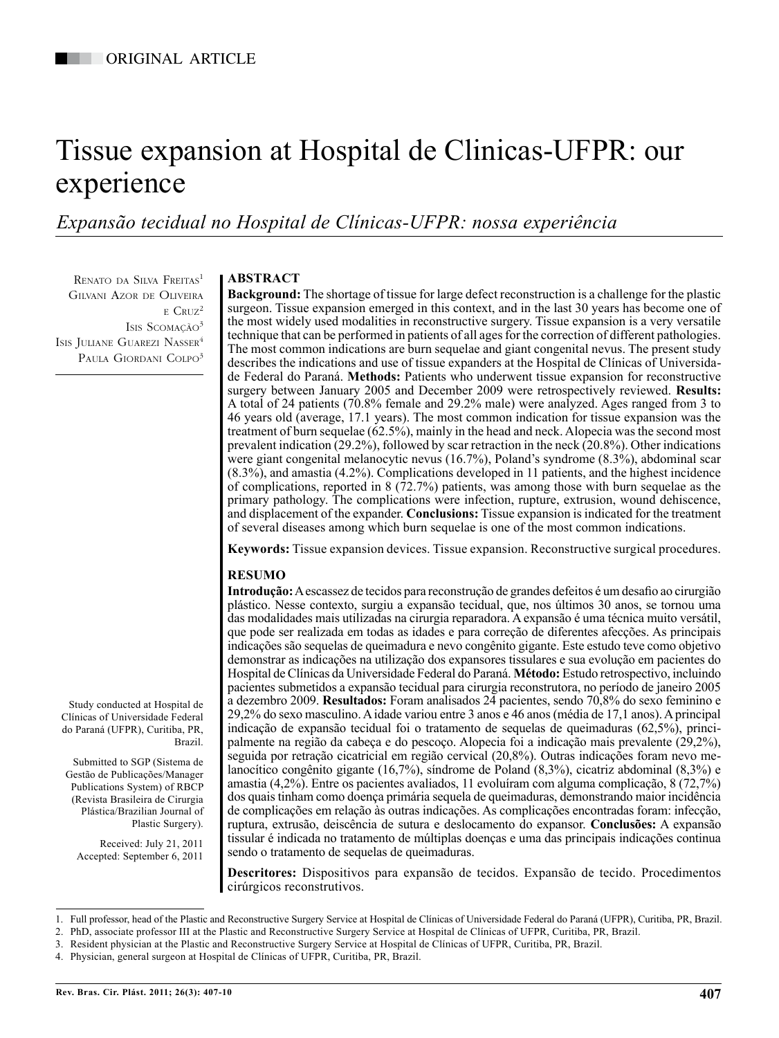# Tissue expansion at Hospital de Clinicas-UFPR: our experience

*Expansão tecidual no Hospital de Clínicas-UFPR: nossa experiência*

RENATO DA SILVA FREITAS<sup>1</sup> Gilvani Azor de Oliveira  $E$  CRUZ<sup>2</sup> Isis Scomação<sup>3</sup> ISIS JULIANE GUAREZI NASSER<sup>4</sup> PAULA GIORDANI COLPO<sup>3</sup>

## **ABSTRACT**

**Background:** The shortage of tissue for large defect reconstruction is a challenge for the plastic surgeon. Tissue expansion emerged in this context, and in the last 30 years has become one of the most widely used modalities in reconstructive surgery. Tissue expansion is a very versatile technique that can be performed in patients of all ages for the correction of different pathologies. The most common indications are burn sequelae and giant congenital nevus. The present study describes the indications and use of tissue expanders at the Hospital de Clínicas of Universidade Federal do Paraná. **Methods:** Patients who underwent tissue expansion for reconstructive surgery between January 2005 and December 2009 were retrospectively reviewed. **Results:** A total of 24 patients (70.8% female and 29.2% male) were analyzed. Ages ranged from 3 to 46 years old (average, 17.1 years). The most common indication for tissue expansion was the treatment of burn sequelae (62.5%), mainly in the head and neck. Alopecia was the second most prevalent indication (29.2%), followed by scar retraction in the neck (20.8%). Other indications were giant congenital melanocytic nevus (16.7%), Poland's syndrome (8.3%), abdominal scar (8.3%), and amastia (4.2%). Complications developed in 11 patients, and the highest incidence of complications, reported in 8 (72.7%) patients, was among those with burn sequelae as the primary pathology. The complications were infection, rupture, extrusion, wound dehiscence, and displacement of the expander. **Conclusions:** Tissue expansion is indicated for the treatment of several diseases among which burn sequelae is one of the most common indications.

**Keywords:** Tissue expansion devices. Tissue expansion. Reconstructive surgical procedures.

## **RESUMO**

**Introdução:** A escassez de tecidos para reconstrução de grandes defeitos é um desafio ao cirurgião plástico. Nesse contexto, surgiu a expansão tecidual, que, nos últimos 30 anos, se tornou uma das modalidades mais utilizadas na cirurgia reparadora. A expansão é uma técnica muito versátil, que pode ser realizada em todas as idades e para correção de diferentes afecções. As principais indicações são sequelas de queimadura e nevo congênito gigante. Este estudo teve como objetivo demonstrar as indicações na utilização dos expansores tissulares e sua evolução em pacientes do Hospital de Clínicas da Universidade Federal do Paraná. **Método:** Estudo retrospectivo, incluindo pacientes submetidos a expansão tecidual para cirurgia reconstrutora, no período de janeiro 2005 a dezembro 2009. **Resultados:** Foram analisados 24 pacientes, sendo 70,8% do sexo feminino e 29,2% do sexo masculino. A idade variou entre 3 anos e 46 anos (média de 17,1 anos). A principal indicação de expansão tecidual foi o tratamento de sequelas de queimaduras (62,5%), principalmente na região da cabeça e do pescoço. Alopecia foi a indicação mais prevalente (29,2%), seguida por retração cicatricial em região cervical (20,8%). Outras indicações foram nevo melanocítico congênito gigante (16,7%), síndrome de Poland (8,3%), cicatriz abdominal (8,3%) e amastia (4,2%). Entre os pacientes avaliados, 11 evoluíram com alguma complicação, 8 (72,7%) dos quais tinham como doença primária sequela de queimaduras, demonstrando maior incidência de complicações em relação às outras indicações. As complicações encontradas foram: infecção, ruptura, extrusão, deiscência de sutura e deslocamento do expansor. **Conclusões:** A expansão tissular é indicada no tratamento de múltiplas doenças e uma das principais indicações continua sendo o tratamento de sequelas de queimaduras.

**Descritores:** Dispositivos para expansão de tecidos. Expansão de tecido. Procedimentos cirúrgicos reconstrutivos.

Study conducted at Hospital de Clínicas of Universidade Federal do Paraná (UFPR), Curitiba, PR,

Submitted to SGP (Sistema de Gestão de Publicações/Manager Publications System) of RBCP (Revista Brasileira de Cirurgia Plástica/Brazilian Journal of

Brazil.

Plastic Surgery).

Received: July 21, 2011 Accepted: September 6, 2011

<sup>1.</sup> Full professor, head of the Plastic and Reconstructive Surgery Service at Hospital de Clínicas of Universidade Federal do Paraná (UFPR), Curitiba, PR, Brazil.

<sup>2.</sup> PhD, associate professor III at the Plastic and Reconstructive Surgery Service at Hospital de Clínicas of UFPR, Curitiba, PR, Brazil.

<sup>3.</sup> Resident physician at the Plastic and Reconstructive Surgery Service at Hospital de Clínicas of UFPR, Curitiba, PR, Brazil.

<sup>4.</sup> Physician, general surgeon at Hospital de Clínicas of UFPR, Curitiba, PR, Brazil.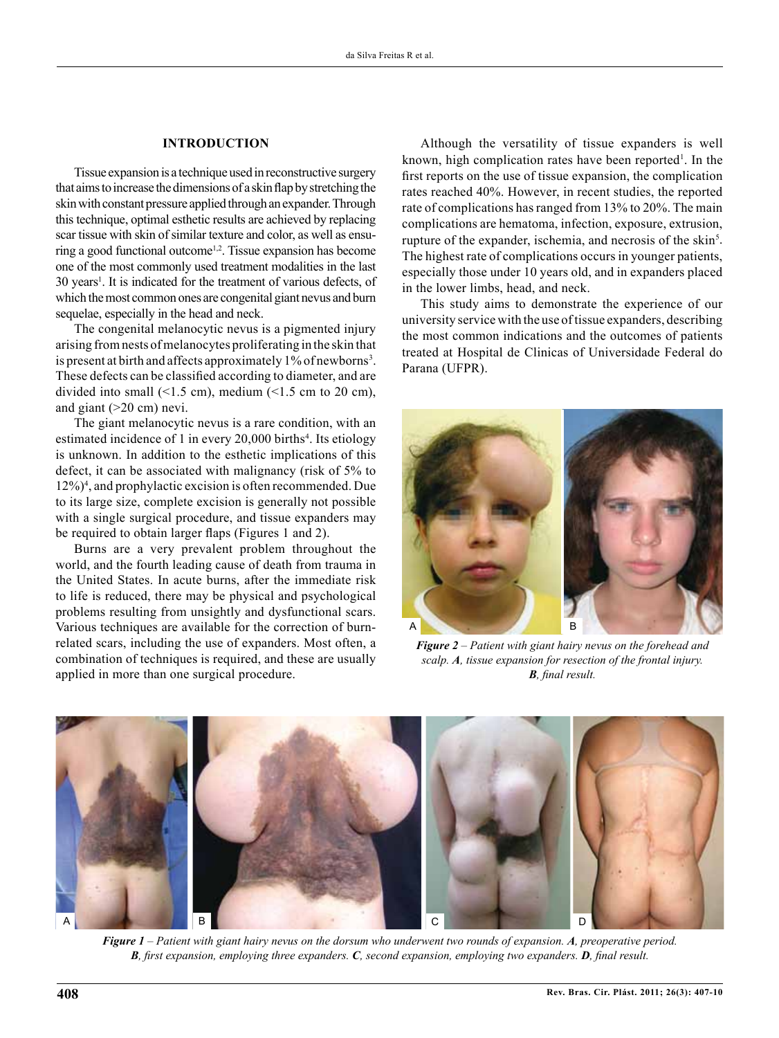## **INTRODUCTION**

Tissue expansion is a technique used in reconstructive surgery that aims to increase the dimensions of a skin flap by stretching the skin with constant pressure applied through an expander. Through this technique, optimal esthetic results are achieved by replacing scar tissue with skin of similar texture and color, as well as ensuring a good functional outcome1,2. Tissue expansion has become one of the most commonly used treatment modalities in the last 30 years<sup>1</sup>. It is indicated for the treatment of various defects, of which the most common ones are congenital giant nevus and burn sequelae, especially in the head and neck.

The congenital melanocytic nevus is a pigmented injury arising from nests of melanocytes proliferating in the skin that is present at birth and affects approximately 1% of newborns<sup>3</sup>. These defects can be classified according to diameter, and are divided into small  $($ <1.5 cm), medium  $($ <1.5 cm to 20 cm), and giant (>20 cm) nevi.

The giant melanocytic nevus is a rare condition, with an estimated incidence of 1 in every 20,000 births<sup>4</sup>. Its etiology is unknown. In addition to the esthetic implications of this defect, it can be associated with malignancy (risk of 5% to 12%)4 , and prophylactic excision is often recommended. Due to its large size, complete excision is generally not possible with a single surgical procedure, and tissue expanders may be required to obtain larger flaps (Figures 1 and 2).

Burns are a very prevalent problem throughout the world, and the fourth leading cause of death from trauma in the United States. In acute burns, after the immediate risk to life is reduced, there may be physical and psychological problems resulting from unsightly and dysfunctional scars. Various techniques are available for the correction of burnrelated scars, including the use of expanders. Most often, a combination of techniques is required, and these are usually applied in more than one surgical procedure.

Although the versatility of tissue expanders is well known, high complication rates have been reported<sup>1</sup>. In the first reports on the use of tissue expansion, the complication rates reached 40%. However, in recent studies, the reported rate of complications has ranged from 13% to 20%. The main complications are hematoma, infection, exposure, extrusion, rupture of the expander, ischemia, and necrosis of the skin<sup>5</sup>. The highest rate of complications occurs in younger patients, especially those under 10 years old, and in expanders placed in the lower limbs, head, and neck.

This study aims to demonstrate the experience of our university service with the use of tissue expanders, describing the most common indications and the outcomes of patients treated at Hospital de Clinicas of Universidade Federal do Parana (UFPR).



*Figure 2 – Patient with giant hairy nevus on the forehead and scalp. A, tissue expansion for resection of the frontal injury. B, final result.*



*Figure 1 – Patient with giant hairy nevus on the dorsum who underwent two rounds of expansion. A, preoperative period. B, first expansion, employing three expanders. C, second expansion, employing two expanders. D, final result.*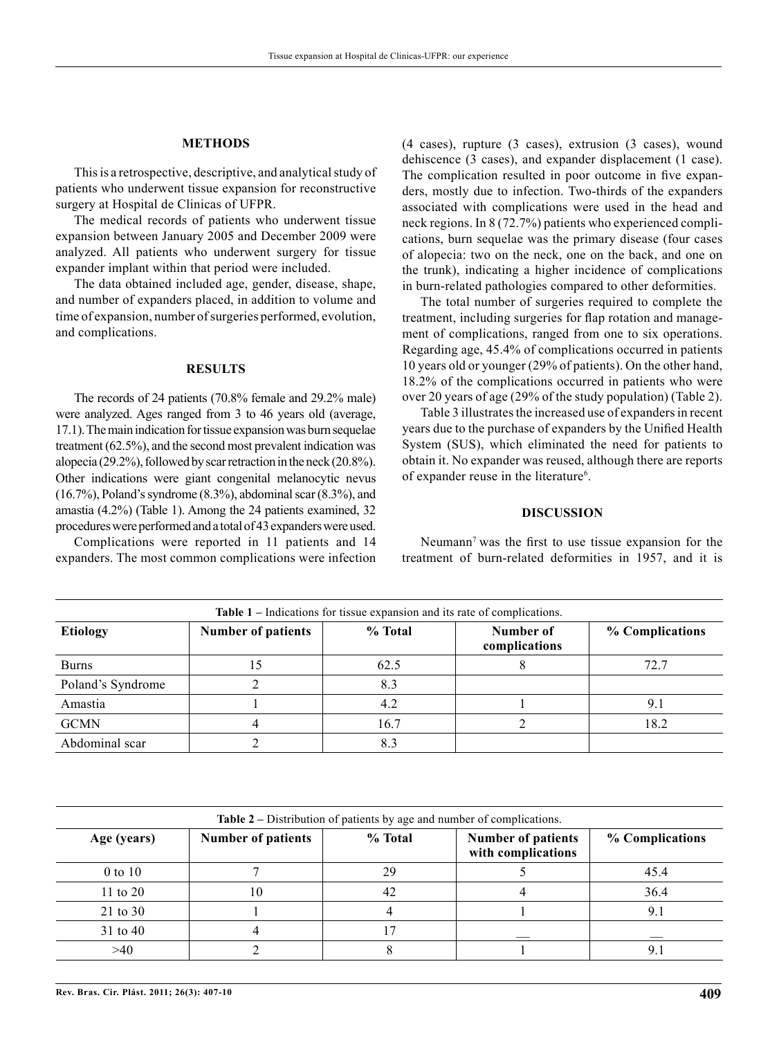#### **METHODS**

This is a retrospective, descriptive, and analytical study of patients who underwent tissue expansion for reconstructive surgery at Hospital de Clinicas of UFPR.

The medical records of patients who underwent tissue expansion between January 2005 and December 2009 were analyzed. All patients who underwent surgery for tissue expander implant within that period were included.

The data obtained included age, gender, disease, shape, and number of expanders placed, in addition to volume and time of expansion, number of surgeries performed, evolution, and complications.

#### **RESULTS**

The records of 24 patients (70.8% female and 29.2% male) were analyzed. Ages ranged from 3 to 46 years old (average, 17.1). The main indication for tissue expansion was burn sequelae treatment (62.5%), and the second most prevalent indication was alopecia (29.2%), followed by scar retraction in the neck (20.8%). Other indications were giant congenital melanocytic nevus (16.7%), Poland's syndrome (8.3%), abdominal scar (8.3%), and amastia (4.2%) (Table 1). Among the 24 patients examined, 32 procedures were performed and a total of 43 expanders were used.

Complications were reported in 11 patients and 14 expanders. The most common complications were infection (4 cases), rupture (3 cases), extrusion (3 cases), wound dehiscence (3 cases), and expander displacement (1 case). The complication resulted in poor outcome in five expanders, mostly due to infection. Two-thirds of the expanders associated with complications were used in the head and neck regions. In 8 (72.7%) patients who experienced complications, burn sequelae was the primary disease (four cases of alopecia: two on the neck, one on the back, and one on the trunk), indicating a higher incidence of complications in burn-related pathologies compared to other deformities.

The total number of surgeries required to complete the treatment, including surgeries for flap rotation and management of complications, ranged from one to six operations. Regarding age, 45.4% of complications occurred in patients 10 years old or younger (29% of patients). On the other hand, 18.2% of the complications occurred in patients who were over 20 years of age (29% of the study population) (Table 2).

Table 3 illustrates the increased use of expanders in recent years due to the purchase of expanders by the Unified Health System (SUS), which eliminated the need for patients to obtain it. No expander was reused, although there are reports of expander reuse in the literature<sup>6</sup>.

#### **DISCUSSION**

Neumann<sup>7</sup> was the first to use tissue expansion for the treatment of burn-related deformities in 1957, and it is

| <b>Table 1</b> – Indications for tissue expansion and its rate of complications. |                           |         |                            |                 |  |  |
|----------------------------------------------------------------------------------|---------------------------|---------|----------------------------|-----------------|--|--|
| <b>Etiology</b>                                                                  | <b>Number of patients</b> | % Total | Number of<br>complications | % Complications |  |  |
| <b>Burns</b>                                                                     | 15                        | 62.5    |                            | 72.7            |  |  |
| Poland's Syndrome                                                                |                           | 8.3     |                            |                 |  |  |
| Amastia                                                                          |                           | 4.2     |                            | 9.1             |  |  |
| <b>GCMN</b>                                                                      |                           | 16.7    |                            | 18.2            |  |  |
| Abdominal scar                                                                   |                           | 8.3     |                            |                 |  |  |

| <b>Table 2</b> – Distribution of patients by age and number of complications. |                           |         |                                                 |                 |  |  |
|-------------------------------------------------------------------------------|---------------------------|---------|-------------------------------------------------|-----------------|--|--|
| Age (years)                                                                   | <b>Number of patients</b> | % Total | <b>Number of patients</b><br>with complications | % Complications |  |  |
| $0$ to $10$                                                                   |                           | 29      |                                                 | 45.4            |  |  |
| 11 to $20$                                                                    | 10                        | 42      |                                                 | 36.4            |  |  |
| 21 to 30                                                                      |                           |         |                                                 |                 |  |  |
| 31 to 40                                                                      |                           | 17      |                                                 |                 |  |  |
| >40                                                                           |                           |         |                                                 |                 |  |  |